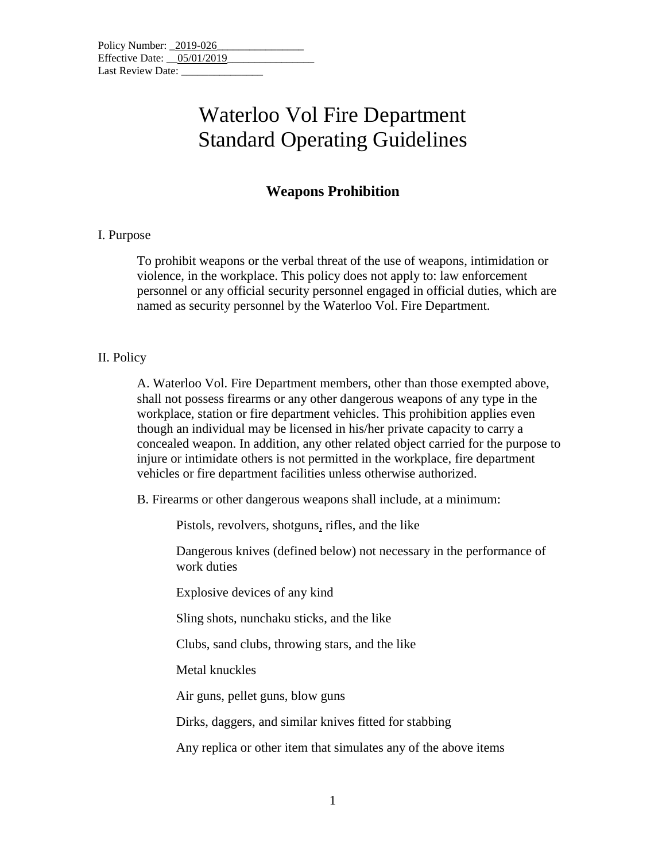| Policy Number: 2019-026      |  |
|------------------------------|--|
| Effective Date: $05/01/2019$ |  |
| Last Review Date:            |  |

### Waterloo Vol Fire Department Standard Operating Guidelines

### **Weapons Prohibition**

#### I. Purpose

To prohibit weapons or the verbal threat of the use of weapons, intimidation or violence, in the workplace. This policy does not apply to: law enforcement personnel or any official security personnel engaged in official duties, which are named as security personnel by the Waterloo Vol. Fire Department.

#### II. Policy

A. Waterloo Vol. Fire Department members, other than those exempted above, shall not possess firearms or any other dangerous weapons of any type in the workplace, station or fire department vehicles. This prohibition applies even though an individual may be licensed in his/her private capacity to carry a concealed weapon. In addition, any other related object carried for the purpose to injure or intimidate others is not permitted in the workplace, fire department vehicles or fire department facilities unless otherwise authorized.

B. Firearms or other dangerous weapons shall include, at a minimum:

Pistols, revolvers, shotguns, rifles, and the like

Dangerous knives (defined below) not necessary in the performance of work duties

Explosive devices of any kind

Sling shots, nunchaku sticks, and the like

Clubs, sand clubs, throwing stars, and the like

Metal knuckles

Air guns, pellet guns, blow guns

Dirks, daggers, and similar knives fitted for stabbing

Any replica or other item that simulates any of the above items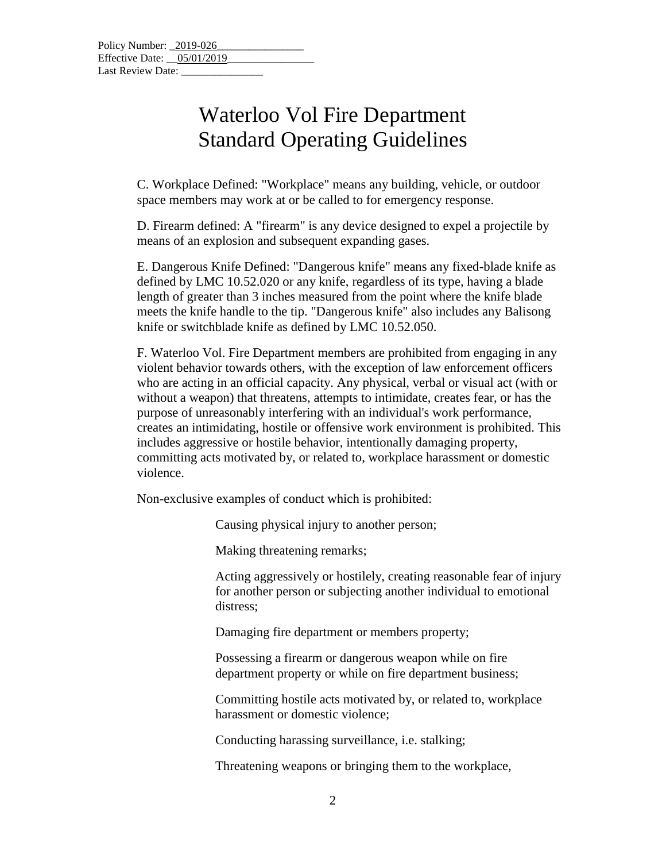# Waterloo Vol Fire Department Standard Operating Guidelines

C. Workplace Defined: "Workplace" means any building, vehicle, or outdoor space members may work at or be called to for emergency response.

D. Firearm defined: A "firearm" is any device designed to expel a projectile by means of an explosion and subsequent expanding gases.

E. Dangerous Knife Defined: "Dangerous knife" means any fixed-blade knife as defined by LMC 10.52.020 or any knife, regardless of its type, having a blade length of greater than 3 inches measured from the point where the knife blade meets the knife handle to the tip. "Dangerous knife" also includes any Balisong knife or switchblade knife as defined by LMC 10.52.050.

F. Waterloo Vol. Fire Department members are prohibited from engaging in any violent behavior towards others, with the exception of law enforcement officers who are acting in an official capacity. Any physical, verbal or visual act (with or without a weapon) that threatens, attempts to intimidate, creates fear, or has the purpose of unreasonably interfering with an individual's work performance, creates an intimidating, hostile or offensive work environment is prohibited. This includes aggressive or hostile behavior, intentionally damaging property, committing acts motivated by, or related to, workplace harassment or domestic violence.

Non-exclusive examples of conduct which is prohibited:

Causing physical injury to another person;

Making threatening remarks;

Acting aggressively or hostilely, creating reasonable fear of injury for another person or subjecting another individual to emotional distress;

Damaging fire department or members property;

Possessing a firearm or dangerous weapon while on fire department property or while on fire department business;

Committing hostile acts motivated by, or related to, workplace harassment or domestic violence;

Conducting harassing surveillance, i.e. stalking;

Threatening weapons or bringing them to the workplace,